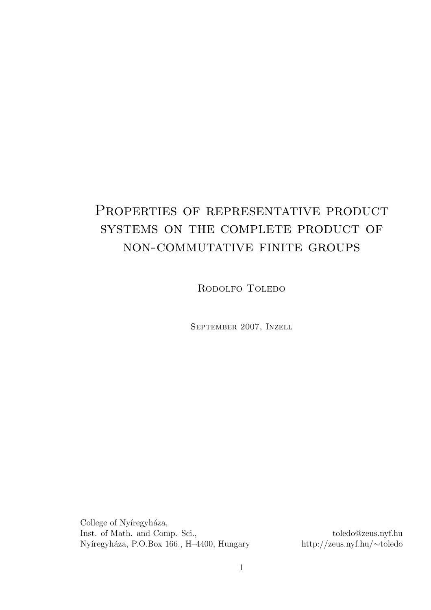# PROPERTIES OF REPRESENTATIVE PRODUCT systems on the complete product of non-commutative finite groups

RODOLFO TOLEDO

September 2007, Inzell

College of Nyíregyháza, Inst. of Math. and Comp. Sci., toledo@zeus.nyf.hu Nyíregyháza, P.O.Box 166., H–4400, Hungary http://zeus.nyf.hu/∼toledo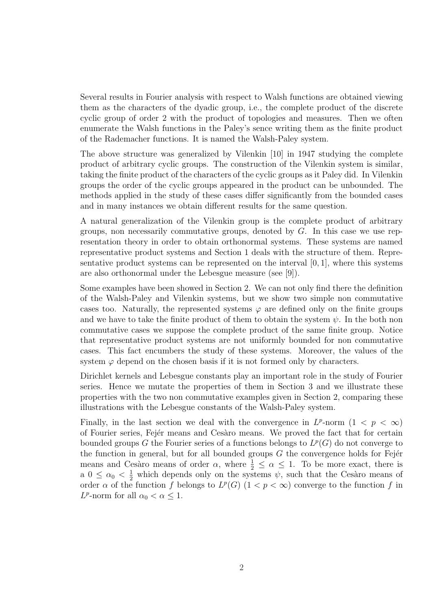Several results in Fourier analysis with respect to Walsh functions are obtained viewing them as the characters of the dyadic group, i.e., the complete product of the discrete cyclic group of order 2 with the product of topologies and measures. Then we often enumerate the Walsh functions in the Paley's sence writing them as the finite product of the Rademacher functions. It is named the Walsh-Paley system.

The above structure was generalized by Vilenkin [10] in 1947 studying the complete product of arbitrary cyclic groups. The construction of the Vilenkin system is similar, taking the finite product of the characters of the cyclic groups as it Paley did. In Vilenkin groups the order of the cyclic groups appeared in the product can be unbounded. The methods applied in the study of these cases differ significantly from the bounded cases and in many instances we obtain different results for the same question.

A natural generalization of the Vilenkin group is the complete product of arbitrary groups, non necessarily commutative groups, denoted by  $G$ . In this case we use representation theory in order to obtain orthonormal systems. These systems are named representative product systems and Section 1 deals with the structure of them. Representative product systems can be represented on the interval  $[0, 1]$ , where this systems are also orthonormal under the Lebesgue measure (see [9]).

Some examples have been showed in Section 2. We can not only find there the definition of the Walsh-Paley and Vilenkin systems, but we show two simple non commutative cases too. Naturally, the represented systems  $\varphi$  are defined only on the finite groups and we have to take the finite product of them to obtain the system  $\psi$ . In the both non commutative cases we suppose the complete product of the same finite group. Notice that representative product systems are not uniformly bounded for non commutative cases. This fact encumbers the study of these systems. Moreover, the values of the system  $\varphi$  depend on the chosen basis if it is not formed only by characters.

Dirichlet kernels and Lebesgue constants play an important role in the study of Fourier series. Hence we mutate the properties of them in Section 3 and we illustrate these properties with the two non commutative examples given in Section 2, comparing these illustrations with the Lebesgue constants of the Walsh-Paley system.

Finally, in the last section we deal with the convergence in  $L^p$ -norm  $(1 \lt p \lt \infty)$ of Fourier series, Fejer means and Cesaro means. We proved the fact that for certain bounded groups G the Fourier series of a functions belongs to  $L^p(G)$  do not converge to the function in general, but for all bounded groups  $G$  the convergence holds for Fejér means and Cesàro means of order  $\alpha$ , where  $\frac{1}{2} \leq \alpha \leq 1$ . To be more exact, there is a  $0 \leq \alpha_0 < \frac{1}{2}$  which depends only on the systems  $\psi$ , such that the Cessor means of order  $\alpha$  of the function f belongs to  $L^p(G)$   $(1 < p < \infty)$  converge to the function f in  $L^p$ -norm for all  $\alpha_0 < \alpha \leq 1$ .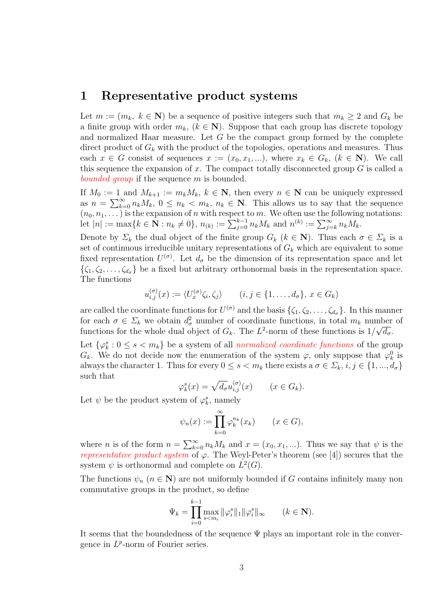#### 1 Representative product systems

Let  $m := (m_k, k \in \mathbb{N})$  be a sequence of positive integers such that  $m_k \geq 2$  and  $G_k$  be a finite group with order  $m_k$ ,  $(k \in \mathbb{N})$ . Suppose that each group has discrete topology and normalized Haar measure. Let  $G$  be the compact group formed by the complete direct product of  $G_k$  with the product of the topologies, operations and measures. Thus each  $x \in G$  consist of sequences  $x := (x_0, x_1, \ldots)$ , where  $x_k \in G_k$ ,  $(k \in \mathbb{N})$ . We call this sequence the expansion of x. The compact totally disconnected group  $G$  is called a bounded group if the sequence m is bounded.

If  $M_0 := 1$  and  $M_{k+1} := m_k M_k$ ,  $k \in \mathbb{N}$ , then every  $n \in \mathbb{N}$  can be uniquely expressed as  $n = \sum_{k=0}^{\infty} n_k M_k$ ,  $0 \le n_k < m_k$ ,  $n_k \in \mathbb{N}$ . This allows us to say that the sequence  $(n_0, n_1, \dots)$  is the expansion of n with respect to m. We often use the following notations:  $\lbrack n_0, n_1, \ldots \rbrack$  is the expansion of *n* with respect to *m*. We often use the following<br>let  $|n| := \max\{k \in \mathbf{N} : n_k \neq 0\}, n_{(k)} := \sum_{j=0}^{k-1} n_k M_k$  and  $n^{(k)} := \sum_{j=k}^{\infty} n_k M_k$ .

Denote by  $\Sigma_k$  the dual object of the finite group  $G_k$   $(k \in \mathbb{N})$ . Thus each  $\sigma \in \Sigma_k$  is a set of continuous irreducible unitary representations of  $G_k$  which are equivalent to some fixed representation  $U^{(\sigma)}$ . Let  $d_{\sigma}$  be the dimension of its representation space and let  $\{\zeta_1, \zeta_2, \ldots, \zeta_{d_\sigma}\}\$ be a fixed but arbitrary orthonormal basis in the representation space. The functions

$$
u_{i,j}^{(\sigma)}(x) := \langle U_x^{(\sigma)} \zeta_i, \zeta_j \rangle \qquad (i, j \in \{1, \dots, d_{\sigma}\}, x \in G_k)
$$

are called the coordinate functions for  $U^{(\sigma)}$  and the basis  $\{\zeta_1, \zeta_2, \ldots, \zeta_{d_\sigma}\}\$ . In this manner for each  $\sigma \in \Sigma_k$  we obtain  $d^2_{\sigma}$  number of coordinate functions, in total  $m_k$  number of functions for the whole dual object of  $G_k$ . The  $L^2$ -norm of these functions is  $1/\sqrt{d_{\sigma}}$ .

Let  $\{\varphi_k^s : 0 \leq s < m_k\}$  be a system of all normalized coordinate functions of the group  $G_k$ . We do not decide now the enumeration of the system  $\varphi$ , only suppose that  $\varphi_k^0$  is always the character 1. Thus for every  $0 \le s < m_k$  there exists a  $\sigma \in \Sigma_k$ ,  $i, j \in \{1, ..., d_{\sigma}\}\$ such that

$$
\varphi_k^s(x) = \sqrt{d_{\sigma}} u_{i,j}^{(\sigma)}(x) \qquad (x \in G_k).
$$

Let  $\psi$  be the product system of  $\varphi_k^s$ , namely

$$
\psi_n(x) := \prod_{k=0}^{\infty} \varphi_k^{n_k}(x_k) \qquad (x \in G),
$$

where *n* is of the form  $n = \sum_{k=1}^{\infty}$  $\sum_{k=0}^{\infty} n_k M_k$  and  $x = (x_0, x_1, \ldots)$ . Thus we say that  $\psi$  is the *representative product system* of  $\varphi$ . The Weyl-Peter's theorem (see [4]) secures that the system  $\psi$  is orthonormal and complete on  $L^2(G)$ .

The functions  $\psi_n$  ( $n \in \mathbb{N}$ ) are not uniformly bounded if G contains infinitely many non commutative groups in the product, so define

$$
\Psi_k = \prod_{i=0}^{k-1} \max_{s < m_i} \|\varphi_i^s\|_1 \|\varphi_i^s\|_\infty \qquad (k \in \mathbf{N}).
$$

It seems that the boundedness of the sequence  $\Psi$  plays an important role in the convergence in  $L^p$ -norm of Fourier series.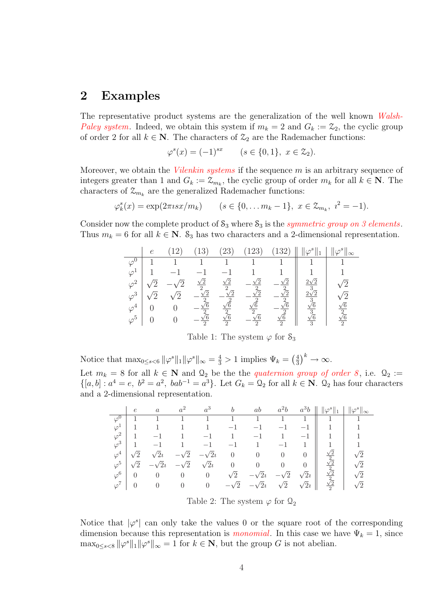### 2 Examples

The representative product systems are the generalization of the well known Walsh-Paley system. Indeed, we obtain this system if  $m_k = 2$  and  $G_k := \mathcal{Z}_2$ , the cyclic group of order 2 for all  $k \in \mathbb{N}$ . The characters of  $\mathcal{Z}_2$  are the Rademacher functions:

$$
\varphi^s(x) = (-1)^{sx} \qquad (s \in \{0, 1\}, \ x \in \mathcal{Z}_2).
$$

Moreover, we obtain the *Vilenkin systems* if the sequence  $m$  is an arbitrary sequence of integers greater than 1 and  $G_k := \mathcal{Z}_{m_k}$ , the cyclic group of order  $m_k$  for all  $k \in \mathbb{N}$ . The characters of  $\mathcal{Z}_{m_k}$  are the generalized Rademacher functions:

$$
\varphi_k^s(x) = \exp(2\pi \imath s x/m_k)
$$
  $(s \in \{0, ..., m_k - 1\}, x \in \mathcal{Z}_{m_k}, i^2 = -1).$ 

Consider now the complete product of  $S_3$  where  $S_3$  is the *symmetric group on 3 elements*. Thus  $m_k = 6$  for all  $k \in \mathbb{N}$ .  $\mathcal{S}_3$  has two characters and a 2-dimensional representation.

|             |  |                              | 23                                    | 23                                    | 2c                                    |                                        | $\infty$                                     |
|-------------|--|------------------------------|---------------------------------------|---------------------------------------|---------------------------------------|----------------------------------------|----------------------------------------------|
|             |  |                              |                                       |                                       |                                       |                                        |                                              |
| $\varphi$   |  |                              |                                       |                                       |                                       |                                        |                                              |
| $\varphi^2$ |  | $\sqrt{2}$<br>$\overline{2}$ | $\sqrt{2}$<br>$\Omega$                | /2                                    | /റ<br>$\mathcal{D}$                   | $2\sqrt{2}$                            |                                              |
| $\varphi^3$ |  | $\sqrt{2}$<br>$\Omega$       | $\sqrt{2}$<br>$\gamma$                | /2                                    | 75<br>$\Omega$                        | $\sqrt{\frac{3}{2}}$                   | ⁄ റ                                          |
| $\varphi^4$ |  | $\sqrt{6}$<br>$\overline{2}$ | $\sqrt{6}$                            | $\sqrt{6}$                            | $\sqrt{6}$                            | $\overline{\frac{3}{\sqrt{6}}}$        |                                              |
| $\varphi^5$ |  | $\sqrt{6}$<br>$\overline{2}$ | $\frac{2}{\sqrt{6}}$<br>$\mathcal{D}$ | $\frac{2}{\sqrt{6}}$<br>$\mathcal{D}$ | $\sqrt{\frac{2}{6}}$<br>$\mathcal{D}$ | $\frac{3}{\sqrt{6}}$<br>$\overline{3}$ | $\frac{\sqrt{6}}{2}$<br>$\frac{\sqrt{6}}{2}$ |

Table 1: The system  $\varphi$  for  $\mathcal{S}_3$ 

Notice that 
$$
\max_{0 \le s < 6} ||\varphi^s||_1 ||\varphi^s||_{\infty} = \frac{4}{3} > 1
$$
 implies  $\Psi_k = \left(\frac{4}{3}\right)^k \to \infty$ .

Let  $m_k = 8$  for all  $k \in \mathbb{N}$  and  $\Omega_2$  be the the *quaternion group of order 8*, i.e.  $\Omega_2 :=$  $\{[a,b]: a^4=e, b^2=a^2, bab^{-1}=a^3\}$ . Let  $G_k = \mathcal{Q}_2$  for all  $k \in \mathbb{N}$ .  $\mathcal{Q}_2$  has four characters and a 2-dimensional representation.

|             | $\epsilon$ | $\alpha$             |                                 | $a^3$          | b                               | ab               |                | $a^3b$      |                                              | $\ \varphi_{\_\_\infty}^s\ _{\infty}$ |
|-------------|------------|----------------------|---------------------------------|----------------|---------------------------------|------------------|----------------|-------------|----------------------------------------------|---------------------------------------|
| $\varphi^0$ |            |                      |                                 |                | $\mathbf{1}$                    | 1.               |                |             |                                              |                                       |
| $\varphi^1$ |            |                      |                                 |                |                                 |                  |                |             |                                              | $\mathbf{1}$                          |
| $\varphi^2$ | 1          |                      |                                 |                |                                 |                  |                |             |                                              | $\overline{1}$                        |
| $\varphi^3$ | -1         |                      |                                 | $-1$           |                                 |                  |                |             |                                              | $\mathbf{1}$                          |
| $\varphi^4$ | ′2         | $\sqrt{2}i$          | $\sqrt{2}$<br>$\qquad \qquad -$ | $-\sqrt{2}i$   | $\theta$                        | $\overline{0}$   | $\overline{0}$ |             | $\frac{1}{2}$                                | $\sqrt{2}$                            |
| $\varphi^5$ | $\sqrt{2}$ | $\overline{2}\imath$ | $-\sqrt{2}$                     | $\sqrt{2}i$    | $\begin{matrix} 0 \end{matrix}$ | $\boldsymbol{0}$ | $\theta$       | $\theta$    | $\frac{\sqrt{2}}{2}$<br>$\frac{\sqrt{2}}{2}$ | $\sqrt{2}$                            |
| $\varphi^6$ | $\theta$   | $\overline{0}$       | $\theta$                        | $\theta$       | $\sqrt{2}$                      | $\sqrt{2}i$      | $\sqrt{2}$     | $\sqrt{2}i$ |                                              | $\sqrt{2}$                            |
| $\varphi^7$ | $\theta$   | $\theta$             | $\theta$                        | $\overline{0}$ | $-\sqrt{2}$                     | $-\sqrt{2}i$     | $\sqrt{2}$     | $\sqrt{2}i$ | $\sqrt{2}$<br>$\overline{2}$                 | $\sqrt{2}$                            |

Table 2: The system  $\varphi$  for  $\mathcal{Q}_2$ 

Notice that  $|\varphi^s|$  can only take the values 0 or the square root of the corresponding dimension because this representation is *monomial*. In this case we have  $\Psi_k = 1$ , since  $\max_{0 \leq s < 8} ||\varphi^s||_1 ||\varphi^s||_{\infty} = 1$  for  $k \in \mathbb{N}$ , but the group G is not abelian.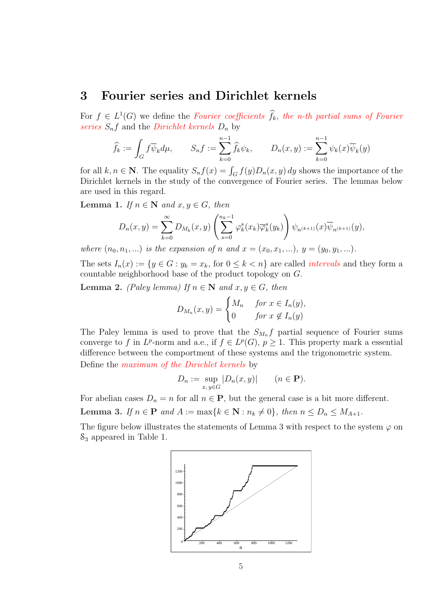#### 3 Fourier series and Dirichlet kernels

For  $f \in L^1(G)$  we define the Fourier coefficients  $\widehat{f}_k$ , the n-th partial sums of Fourier series  $S_n f$  and the *Dirichlet kernels*  $D_n$  by

$$
\widehat{f}_k := \int_G f \overline{\psi}_k d\mu, \qquad S_n f := \sum_{k=0}^{n-1} \widehat{f}_k \psi_k, \qquad D_n(x, y) := \sum_{k=0}^{n-1} \psi_k(x) \overline{\psi}_k(y)
$$

for all  $k, n \in \mathbb{N}$ . The equality  $S_n f(x) = \int_G f(y) D_n(x, y) dy$  shows the importance of the Dirichlet kernels in the study of the convergence of Fourier series. The lemmas below are used in this regard.

Lemma 1. If  $n \in \mathbb{N}$  and  $x, y \in G$ , then

$$
D_n(x,y) = \sum_{k=0}^{\infty} D_{M_k}(x,y) \left( \sum_{s=0}^{n_k-1} \varphi_k^s(x_k) \overline{\varphi}_k^s(y_k) \right) \psi_{n^{(k+1)}}(x) \overline{\psi}_{n^{(k+1)}}(y),
$$

where  $(n_0, n_1, ...)$  is the expansion of n and  $x = (x_0, x_1, ...)$ ,  $y = (y_0, y_1, ...)$ .

The sets  $I_n(x) := \{y \in G : y_k = x_k, \text{ for } 0 \leq k < n\}$  are called *intervals* and they form a countable neighborhood base of the product topology on G.

**Lemma 2.** (Paley lemma) If  $n \in \mathbb{N}$  and  $x, y \in G$ , then

$$
D_{M_n}(x, y) = \begin{cases} M_n & \text{for } x \in I_n(y), \\ 0 & \text{for } x \notin I_n(y) \end{cases}
$$

The Paley lemma is used to prove that the  $S_{M_n} f$  partial sequence of Fourier sums converge to f in  $L^p$ -norm and a.e., if  $f \in L^p(G)$ ,  $p \geq 1$ . This property mark a essential difference between the comportment of these systems and the trigonometric system. Define the maximum of the Dirichlet kernels by

$$
D_n := \sup_{x,y \in G} |D_n(x,y)| \qquad (n \in \mathbf{P}).
$$

For abelian cases  $D_n = n$  for all  $n \in \mathbf{P}$ , but the general case is a bit more different.

Lemma 3. If  $n \in \mathbf{P}$  and  $A := \max\{k \in \mathbf{N} : n_k \neq 0\}$ , then  $n \leq D_n \leq M_{A+1}$ .

The figure below illustrates the statements of Lemma 3 with respect to the system  $\varphi$  on S<sup>3</sup> appeared in Table 1.

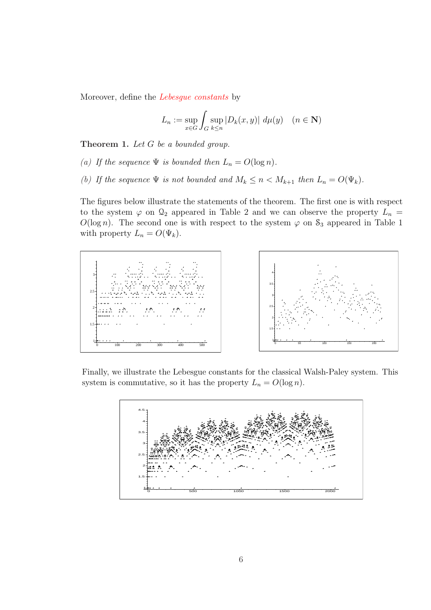Moreover, define the Lebesgue constants by

$$
L_n := \sup_{x \in G} \int_G \sup_{k \le n} |D_k(x, y)| \ d\mu(y) \quad (n \in \mathbf{N})
$$

Theorem 1. Let G be a bounded group.

- (a) If the sequence  $\Psi$  is bounded then  $L_n = O(\log n)$ .
- (b) If the sequence  $\Psi$  is not bounded and  $M_k \leq n < M_{k+1}$  then  $L_n = O(\Psi_k)$ .

The figures below illustrate the statements of the theorem. The first one is with respect to the system  $\varphi$  on  $\mathcal{Q}_2$  appeared in Table 2 and we can observe the property  $L_n =$  $O(\log n)$ . The second one is with respect to the system  $\varphi$  on  $S_3$  appeared in Table 1 with property  $L_n = O(\Psi_k)$ .



Finally, we illustrate the Lebesgue constants for the classical Walsh-Paley system. This system is commutative, so it has the property  $L_n = O(\log n)$ .

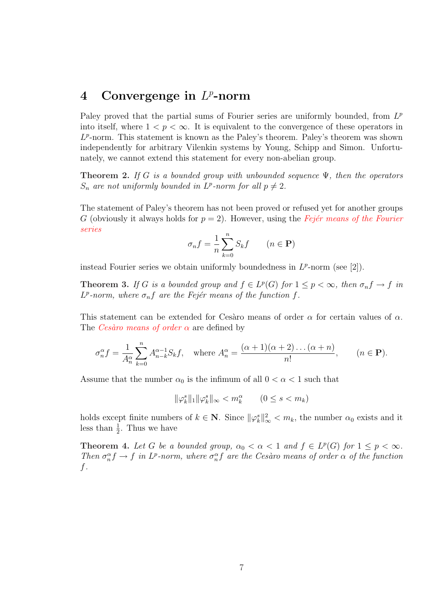# 4 Convergenge in  $L^p$ -norm

Paley proved that the partial sums of Fourier series are uniformly bounded, from  $L^p$ into itself, where  $1 < p < \infty$ . It is equivalent to the convergence of these operators in  $L^p$ -norm. This statement is known as the Paley's theorem. Paley's theorem was shown independently for arbitrary Vilenkin systems by Young, Schipp and Simon. Unfortunately, we cannot extend this statement for every non-abelian group.

**Theorem 2.** If G is a bounded group with unbounded sequence  $\Psi$ , then the operators  $S_n$  are not uniformly bounded in  $L^p$ -norm for all  $p \neq 2$ .

The statement of Paley's theorem has not been proved or refused yet for another groups G (obviously it always holds for  $p = 2$ ). However, using the Fejer means of the Fourier series

$$
\sigma_n f = \frac{1}{n} \sum_{k=0}^n S_k f \qquad (n \in \mathbf{P})
$$

instead Fourier series we obtain uniformly boundedness in  $L^p$ -norm (see [2]).

**Theorem 3.** If G is a bounded group and  $f \in L^p(G)$  for  $1 \leq p < \infty$ , then  $\sigma_n f \to f$  in  $L^p$ -norm, where  $\sigma_n f$  are the Fejér means of the function f.

This statement can be extended for Cesàro means of order  $\alpha$  for certain values of  $\alpha$ . The *Cesàro means of order*  $\alpha$  are defined by

$$
\sigma_n^{\alpha} f = \frac{1}{A_n^{\alpha}} \sum_{k=0}^n A_{n-k}^{\alpha-1} S_k f, \quad \text{where } A_n^{\alpha} = \frac{(\alpha+1)(\alpha+2)\dots(\alpha+n)}{n!}, \qquad (n \in \mathbf{P}).
$$

Assume that the number  $\alpha_0$  is the infimum of all  $0 < \alpha < 1$  such that

$$
\|\varphi_k^s\|_1 \|\varphi_k^s\|_{\infty} < m_k^{\alpha} \qquad (0 \le s < m_k)
$$

holds except finite numbers of  $k \in \mathbb{N}$ . Since  $\|\varphi_k^s\|_{\infty}^2 < m_k$ , the number  $\alpha_0$  exists and it less than  $\frac{1}{2}$ . Thus we have

**Theorem 4.** Let G be a bounded group,  $\alpha_0 < \alpha < 1$  and  $f \in L^p(G)$  for  $1 \leq p < \infty$ . Then  $\sigma_n^{\alpha} f \to f$  in  $L^p$ -norm, where  $\sigma_n^{\alpha} f$  are the Cesaro means of order  $\alpha$  of the function f.